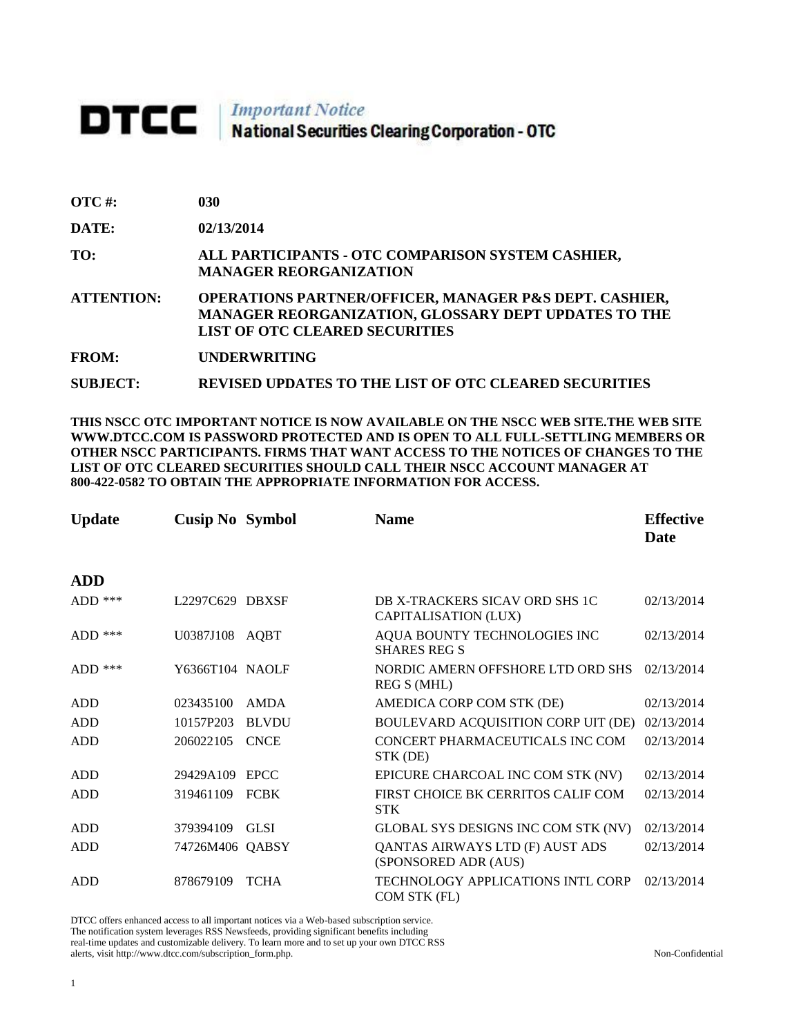## **DTCC** National Securities Clearing Corporation - OTC

| <b>OTC#:</b>      | 030                                                                                                                                                                       |
|-------------------|---------------------------------------------------------------------------------------------------------------------------------------------------------------------------|
| DATE:             | 02/13/2014                                                                                                                                                                |
| TO:               | ALL PARTICIPANTS - OTC COMPARISON SYSTEM CASHIER,<br><b>MANAGER REORGANIZATION</b>                                                                                        |
| <b>ATTENTION:</b> | <b>OPERATIONS PARTNER/OFFICER, MANAGER P&amp;S DEPT. CASHIER,</b><br><b>MANAGER REORGANIZATION, GLOSSARY DEPT UPDATES TO THE</b><br><b>LIST OF OTC CLEARED SECURITIES</b> |
| <b>FROM:</b>      | <b>UNDERWRITING</b>                                                                                                                                                       |
| <b>SUBJECT:</b>   | <b>REVISED UPDATES TO THE LIST OF OTC CLEARED SECURITIES</b>                                                                                                              |

**THIS NSCC OTC IMPORTANT NOTICE IS NOW AVAILABLE ON THE NSCC WEB SITE.THE WEB SITE WWW.DTCC.COM IS PASSWORD PROTECTED AND IS OPEN TO ALL FULL-SETTLING MEMBERS OR OTHER NSCC PARTICIPANTS. FIRMS THAT WANT ACCESS TO THE NOTICES OF CHANGES TO THE LIST OF OTC CLEARED SECURITIES SHOULD CALL THEIR NSCC ACCOUNT MANAGER AT 800-422-0582 TO OBTAIN THE APPROPRIATE INFORMATION FOR ACCESS.** 

| <b>Update</b> | <b>Cusip No Symbol</b> |              | <b>Name</b>                                             | <b>Effective</b><br><b>Date</b> |
|---------------|------------------------|--------------|---------------------------------------------------------|---------------------------------|
| <b>ADD</b>    |                        |              |                                                         |                                 |
| $ADD$ ***     | L2297C629 DBXSF        |              | DB X-TRACKERS SICAV ORD SHS 1C<br>CAPITALISATION (LUX)  | 02/13/2014                      |
| $ADD$ ***     | U0387J108 AQBT         |              | AQUA BOUNTY TECHNOLOGIES INC<br><b>SHARES REG S</b>     | 02/13/2014                      |
| $ADD$ ***     | Y6366T104 NAOLF        |              | NORDIC AMERN OFFSHORE LTD ORD SHS<br>REG S (MHL)        | 02/13/2014                      |
| ADD           | 023435100              | AMDA         | AMEDICA CORP COM STK (DE)                               | 02/13/2014                      |
| <b>ADD</b>    | 10157P203              | <b>BLVDU</b> | BOULEVARD ACQUISITION CORP UIT (DE)                     | 02/13/2014                      |
| <b>ADD</b>    | 206022105              | <b>CNCE</b>  | CONCERT PHARMACEUTICALS INC COM<br>STK (DE)             | 02/13/2014                      |
| ADD           | 29429A109              | <b>EPCC</b>  | EPICURE CHARCOAL INC COM STK (NV)                       | 02/13/2014                      |
| ADD           | 319461109              | <b>FCBK</b>  | FIRST CHOICE BK CERRITOS CALIF COM<br><b>STK</b>        | 02/13/2014                      |
| ADD           | 379394109              | <b>GLSI</b>  | GLOBAL SYS DESIGNS INC COM STK (NV)                     | 02/13/2014                      |
| ADD           | 74726M406 QABSY        |              | QANTAS AIRWAYS LTD (F) AUST ADS<br>(SPONSORED ADR (AUS) | 02/13/2014                      |
| <b>ADD</b>    | 878679109              | <b>TCHA</b>  | TECHNOLOGY APPLICATIONS INTL CORP<br>COM STK (FL)       | 02/13/2014                      |

DTCC offers enhanced access to all important notices via a Web-based subscription service.

The notification system leverages RSS Newsfeeds, providing significant benefits including real-time updates and customizable delivery. To learn more and to set up your own DTCC RSS

alerts, visit http://www.dtcc.com/subscription\_form.php. Non-Confidential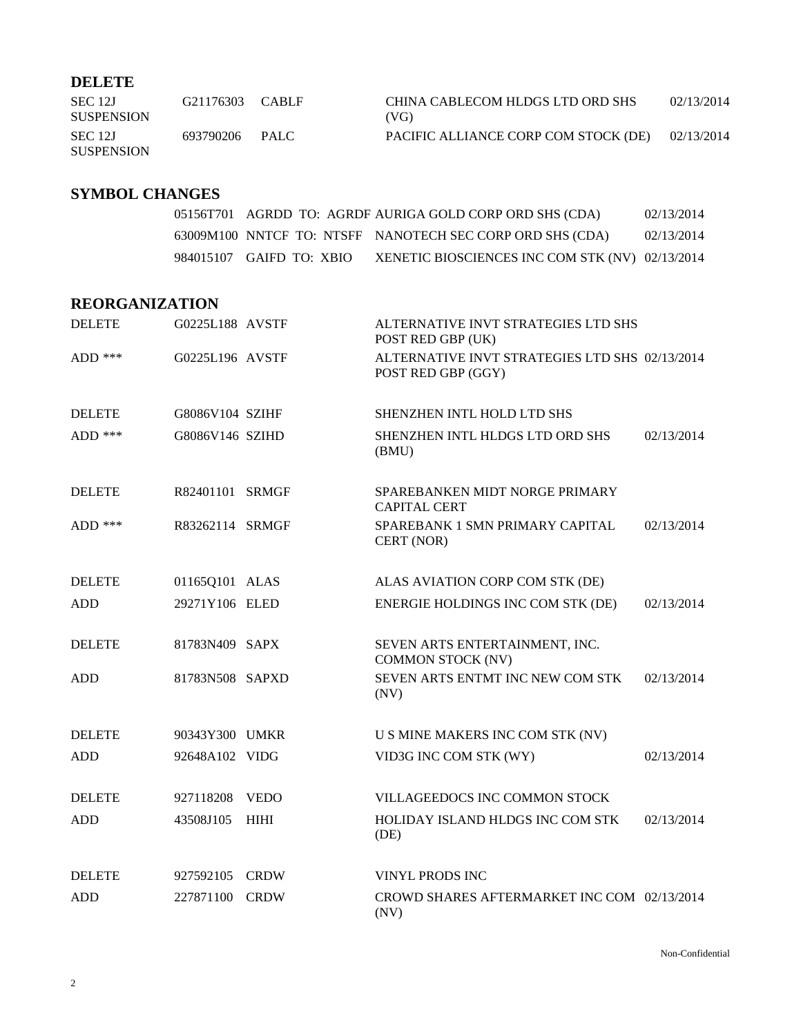## **DELETE**

| SEC 12J<br><b>SUSPENSION</b> | G21176303 | <b>CABLE</b> | CHINA CABLECOM HLDGS LTD ORD SHS<br>(VG) | 02/13/2014 |
|------------------------------|-----------|--------------|------------------------------------------|------------|
| SEC 12J<br><b>SUSPENSION</b> | 693790206 | PALC.        | PACIFIC ALLIANCE CORP COM STOCK (DE)     | 02/13/2014 |

## **SYMBOL CHANGES**

|                          |  | 05156T701 AGRDD TO: AGRDF AURIGA GOLD CORP ORD SHS (CDA)  | 02/13/2014 |
|--------------------------|--|-----------------------------------------------------------|------------|
|                          |  | 63009M100 NNTCF TO: NTSFF NANOTECH SEC CORP ORD SHS (CDA) | 02/13/2014 |
| 984015107 GAIFD TO: XBIO |  | XENETIC BIOSCIENCES INC COM STK (NV) 02/13/2014           |            |

## **REORGANIZATION**

| <b>DELETE</b> | G0225L188 AVSTF |              | ALTERNATIVE INVT STRATEGIES LTD SHS<br>POST RED GBP (UK)             |            |
|---------------|-----------------|--------------|----------------------------------------------------------------------|------------|
| ADD $***$     | G0225L196 AVSTF |              | ALTERNATIVE INVT STRATEGIES LTD SHS 02/13/2014<br>POST RED GBP (GGY) |            |
| <b>DELETE</b> | G8086V104 SZIHF |              | SHENZHEN INTL HOLD LTD SHS                                           |            |
| $ADD$ ***     | G8086V146 SZIHD |              | SHENZHEN INTL HLDGS LTD ORD SHS<br>(BMU)                             | 02/13/2014 |
| <b>DELETE</b> | R82401101       | <b>SRMGF</b> | SPAREBANKEN MIDT NORGE PRIMARY<br><b>CAPITAL CERT</b>                |            |
| ADD ***       | R83262114 SRMGF |              | SPAREBANK 1 SMN PRIMARY CAPITAL<br>CERT (NOR)                        | 02/13/2014 |
| <b>DELETE</b> | 01165Q101 ALAS  |              | ALAS AVIATION CORP COM STK (DE)                                      |            |
| <b>ADD</b>    | 29271Y106 ELED  |              | ENERGIE HOLDINGS INC COM STK (DE)                                    | 02/13/2014 |
| <b>DELETE</b> | 81783N409 SAPX  |              | SEVEN ARTS ENTERTAINMENT, INC.<br><b>COMMON STOCK (NV)</b>           |            |
| <b>ADD</b>    | 81783N508 SAPXD |              | SEVEN ARTS ENTMT INC NEW COM STK<br>(NV)                             | 02/13/2014 |
| <b>DELETE</b> | 90343Y300 UMKR  |              | U S MINE MAKERS INC COM STK (NV)                                     |            |
| <b>ADD</b>    | 92648A102 VIDG  |              | VID3G INC COM STK (WY)                                               | 02/13/2014 |
| <b>DELETE</b> | 927118208       | <b>VEDO</b>  | VILLAGEEDOCS INC COMMON STOCK                                        |            |
| <b>ADD</b>    | 43508J105       | <b>HIHI</b>  | HOLIDAY ISLAND HLDGS INC COM STK<br>(DE)                             | 02/13/2014 |
| <b>DELETE</b> | 927592105       | <b>CRDW</b>  | <b>VINYL PRODS INC</b>                                               |            |
| <b>ADD</b>    | 227871100       | <b>CRDW</b>  | CROWD SHARES AFTERMARKET INC COM 02/13/2014<br>(NV)                  |            |